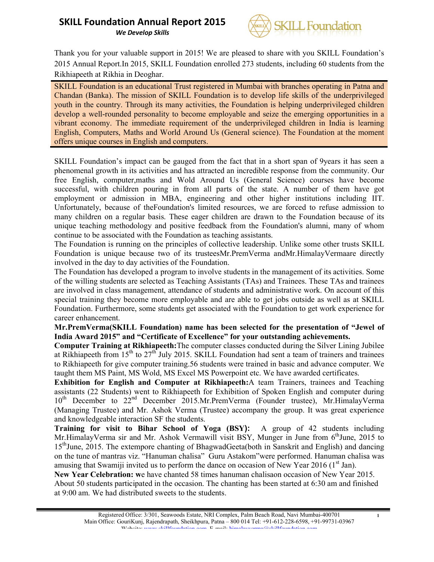*We Develop Skills*



Thank you for your valuable support in 2015! We are pleased to share with you SKILL Foundation's 2015 Annual Report.In 2015, SKILL Foundation enrolled 273 students, including 60 students from the Rikhiapeeth at Rikhia in Deoghar.

SKILL Foundation is an educational Trust registered in Mumbai with branches operating in Patna and Chandan (Banka). The mission of SKILL Foundation is to develop life skills of the underprivileged youth in the country. Through its many activities, the Foundation is helping underprivileged children develop a well-rounded personality to become employable and seize the emerging opportunities in a vibrant economy. The immediate requirement of the underprivileged children in India is learning English, Computers, Maths and World Around Us (General science). The Foundation at the moment offers unique courses in English and computers.

SKILL Foundation's impact can be gauged from the fact that in a short span of 9years it has seen a phenomenal growth in its activities and has attracted an incredible response from the community. Our free English, computer,maths and Wold Around Us (General Science) courses have become successful, with children pouring in from all parts of the state. A number of them have got employment or admission in MBA, engineering and other higher institutions including IIT. Unfortunately, because of theFoundation's limited resources, we are forced to refuse admission to many children on a regular basis. These eager children are drawn to the Foundation because of its unique teaching methodology and positive feedback from the Foundation's alumni, many of whom continue to be associated with the Foundation as teaching assistants.

The Foundation is running on the principles of collective leadership. Unlike some other trusts SKILL Foundation is unique because two of its trusteesMr.PremVerma andMr.HimalayVermaare directly involved in the day to day activities of the Foundation.

The Foundation has developed a program to involve students in the management of its activities. Some of the willing students are selected as Teaching Assistants (TAs) and Trainees. These TAs and trainees are involved in class management, attendance of students and administrative work. On account of this special training they become more employable and are able to get jobs outside as well as at SKILL Foundation. Furthermore, some students get associated with the Foundation to get work experience for career enhancement.

### Mr.PremVerma(SKILL Foundation) name has been selected for the presentation of "Jewel of India Award 2015" and "Certificate of Excellence" for your outstanding achievements.

Computer Training at Rikhiapeeth:The computer classes conducted during the Silver Lining Jubilee at Rikhiapeeth from  $15<sup>th</sup>$  to  $27<sup>th</sup>$  July 2015. SKILL Foundation had sent a team of trainers and trainees to Rikhiapeeth for give computer training.56 students were trained in basic and advance computer. We taught them MS Paint, MS Wold, MS Excel MS Powerpoint etc. We have awarded certificates.

Exhibition for English and Computer at Rikhiapeeth:A team Trainers, trainees and Teaching assistants (22 Students) went to Rikhiapeeth for Exhibition of Spoken English and computer during  $10^{th}$  December to  $22^{nd}$  December  $2015.Mr.PremVerma$  (Founder trustee), Mr.HimalayVerma (Managing Trustee) and Mr. Ashok Verma (Trustee) accompany the group. It was great experience and knowledgeable interaction SF the students.

Training for visit to Bihar School of Yoga (BSY): A group of 42 students including Mr.HimalayVerma sir and Mr. Ashok Vermawill visit BSY, Munger in June from 6<sup>th</sup>June, 2015 to 15<sup>th</sup>June, 2015. The extempore chanting of BhagwadGeeta(both in Sanskrit and English) and dancing on the tune of mantras viz. "Hanuman chalisa" Guru Astakom"were performed. Hanuman chalisa was amusing that Swamiji invited us to perform the dance on occasion of New Year 2016 ( $1<sup>st</sup>$  Jan).

New Year Celebration: we have chanted 58 times hanuman chalisaon occasion of New Year 2015. About 50 students participated in the occasion. The chanting has been started at 6:30 am and finished at 9:00 am. We had distributed sweets to the students.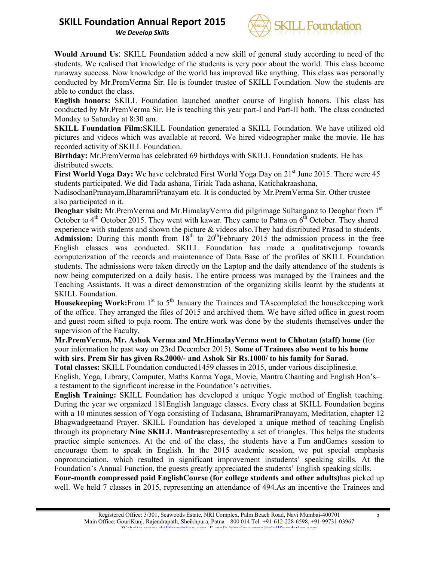*We Develop Skills*



Would Around Us: SKILL Foundation added a new skill of general study according to need of the students. We realised that knowledge of the students is very poor about the world. This class become runaway success. Now knowledge of the world has improved like anything. This class was personally conducted by Mr.PremVerma Sir. He is founder trustee of SKILL Foundation. Now the students are able to conduct the class.

English honors: SKILL Foundation launched another course of English honors. This class has conducted by Mr.PremVerma Sir. He is teaching this year part-I and Part-II both. The class conducted Monday to Saturday at 8:30 am.

SKILL Foundation Film:SKILL Foundation generated a SKILL Foundation. We have utilized old pictures and videos which was available at record. We hired videographer make the movie. He has recorded activity of SKILL Foundation.

Birthday: Mr.PremVerma has celebrated 69 birthdays with SKILL Foundation students. He has distributed sweets.

First World Yoga Day: We have celebrated First World Yoga Day on 21<sup>st</sup> June 2015. There were 45 students participated. We did Tada ashana, Tiriak Tada ashana, Katichakraashana,

NadisodhanPranayam,BharamriPranayam etc. It is conducted by Mr.PremVerma Sir. Other trustee also participated in it.

Deoghar visit: Mr.PremVerma and Mr.HimalayVerma did pilgrimage Sultanganz to Deoghar from 1<sup>st</sup> October to  $4<sup>th</sup>$  October 2015. They went with kawar. They came to Patna on  $6<sup>th</sup>$  October. They shared

experience with students and shown the picture & videos also.They had distributed Prasad to students. Admission: During this month from  $18<sup>th</sup>$  to  $20<sup>th</sup>$  February 2015 the admission process in the free English classes was conducted. SKILL Foundation has made a qualitativejump towards computerization of the records and maintenance of Data Base of the profiles of SKILL Foundation students. The admissions were taken directly on the Laptop and the daily attendance of the students is now being computerized on a daily basis. The entire process was managed by the Trainees and the Teaching Assistants. It was a direct demonstration of the organizing skills learnt by the students at SKILL Foundation.

**Housekeeping Work:**From 1<sup>st</sup> to  $5<sup>th</sup>$  January the Trainees and TAscompleted the housekeeping work of the office. They arranged the files of 2015 and archived them. We have sifted office in guest room and guest room sifted to puja room. The entire work was done by the students themselves under the supervision of the Faculty.

Mr.PremVerma, Mr. Ashok Verma and Mr.HimalayVerma went to Chhotan (staff) home (for your information he past way on 23rd December 2015). Some of Trainees also went to his home with sirs. Prem Sir has given Rs.2000/- and Ashok Sir Rs.1000/ to his family for Sarad.

Total classes: SKILL Foundation conducted1459 classes in 2015, under various disciplinesi.e. English, Yoga, Library, Computer, Maths Karma Yoga, Movie, Mantra Chanting and English Hon's– a testament to the significant increase in the Foundation's activities.

English Training: SKILL Foundation has developed a unique Yogic method of English teaching. During the year we organized 181English language classes. Every class at SKILL Foundation begins with a 10 minutes session of Yoga consisting of Tadasana, BhramariPranayam, Meditation, chapter 12 Bhagwadgeetaand Prayer. SKILL Foundation has developed a unique method of teaching English through its proprietary Nine SKILL Mantrasrepresentedby a set of triangles. This helps the students practice simple sentences. At the end of the class, the students have a Fun andGames session to encourage them to speak in English. In the 2015 academic session, we put special emphasis onpronunciation, which resulted in significant improvement instudents' speaking skills. At the Foundation's Annual Function, the guests greatly appreciated the students' English speaking skills.

Four-month compressed paid EnglishCourse (for college students and other adults)has picked up well. We held 7 classes in 2015, representing an attendance of 494.As an incentive the Trainees and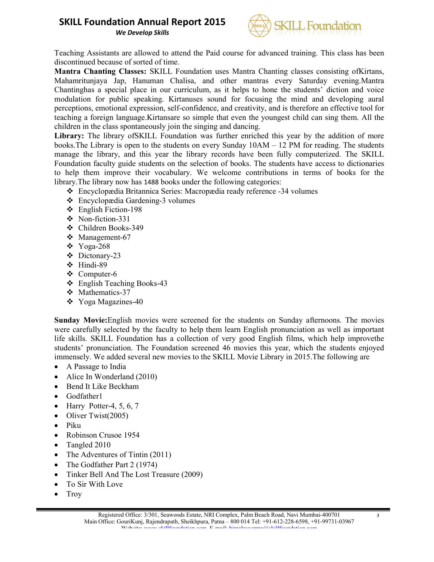*We Develop Skills*



Teaching Assistants are allowed to attend the Paid course for advanced training. This class has been discontinued because of sorted of time.

Mantra Chanting Classes: SKILL Foundation uses Mantra Chanting classes consisting ofKirtans, Mahamritunjaya Jap, Hanuman Chalisa, and other mantras every Saturday evening.Mantra Chantinghas a special place in our curriculum, as it helps to hone the students' diction and voice modulation for public speaking. Kirtanuses sound for focusing the mind and developing aural perceptions, emotional expression, self-confidence, and creativity, and is therefore an effective tool for teaching a foreign language.Kirtansare so simple that even the youngest child can sing them. All the children in the class spontaneously join the singing and dancing.

Library: The library of SKILL Foundation was further enriched this year by the addition of more books.The Library is open to the students on every Sunday 10AM – 12 PM for reading. The students manage the library, and this year the library records have been fully computerized. The SKILL Foundation faculty guide students on the selection of books. The students have access to dictionaries to help them improve their vocabulary. We welcome contributions in terms of books for the library.The library now has 1488 books under the following categories:

- Encyclopædia Britannica Series: Macropædia ready reference -34 volumes
- Encyclopædia Gardening-3 volumes
- English Fiction-198
- Non-fiction-331
- Children Books-349
- Management-67
- $\div$  Yoga-268
- Dictonary-23
- Hindi-89
- Computer-6
- English Teaching Books-43
- Mathematics-37
- Yoga Magazines-40

Sunday Movie:English movies were screened for the students on Sunday afternoons. The movies were carefully selected by the faculty to help them learn English pronunciation as well as important life skills. SKILL Foundation has a collection of very good English films, which help improvethe students' pronunciation. The Foundation screened 46 movies this year, which the students enjoyed immensely. We added several new movies to the SKILL Movie Library in 2015.The following are

- A Passage to India
- Alice In Wonderland (2010)
- Bend It Like Beckham
- Godfather1
- $\bullet$  Harry Potter-4, 5, 6, 7
- Oliver Twist $(2005)$
- Piku
- Robinson Crusoe 1954
- Tangled 2010
- The Adventures of Tintin (2011)
- The Godfather Part 2 (1974)
- Tinker Bell And The Lost Treasure (2009)
- To Sir With Love
- $\bullet$  Troy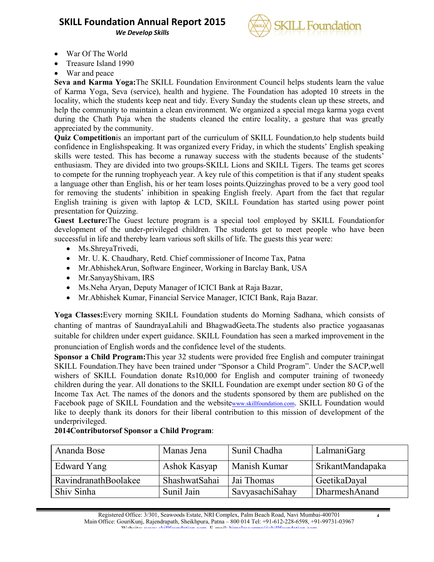*We Develop Skills*



- War Of The World
- Treasure Island 1990
- War and peace

Seva and Karma Yoga:The SKILL Foundation Environment Council helps students learn the value of Karma Yoga, Seva (service), health and hygiene. The Foundation has adopted 10 streets in the locality, which the students keep neat and tidy. Every Sunday the students clean up these streets, and help the community to maintain a clean environment. We organized a special mega karma yoga event during the Chath Puja when the students cleaned the entire locality, a gesture that was greatly appreciated by the community.

Quiz Competitionis an important part of the curriculum of SKILL Foundation,to help students build confidence in Englishspeaking. It was organized every Friday, in which the students' English speaking skills were tested. This has become a runaway success with the students because of the students' enthusiasm. They are divided into two groups-SKILL Lions and SKILL Tigers. The teams get scores to compete for the running trophyeach year. A key rule of this competition is that if any student speaks a language other than English, his or her team loses points.Quizzinghas proved to be a very good tool for removing the students' inhibition in speaking English freely. Apart from the fact that regular English training is given with laptop & LCD, SKILL Foundation has started using power point presentation for Quizzing.

Guest Lecture:The Guest lecture program is a special tool employed by SKILL Foundationfor development of the under-privileged children. The students get to meet people who have been successful in life and thereby learn various soft skills of life. The guests this year were:

- Ms.ShreyaTrivedi,
- Mr. U. K. Chaudhary, Retd. Chief commissioner of Income Tax, Patna
- Mr.AbhishekArun, Software Engineer, Working in Barclay Bank, USA
- Mr.SanyayShivam, IRS
- Ms.Neha Aryan, Deputy Manager of ICICI Bank at Raja Bazar,
- Mr.Abhishek Kumar, Financial Service Manager, ICICI Bank, Raja Bazar.

Yoga Classes:Every morning SKILL Foundation students do Morning Sadhana, which consists of chanting of mantras of SaundrayaLahili and BhagwadGeeta.The students also practice yogaasanas suitable for children under expert guidance. SKILL Foundation has seen a marked improvement in the pronunciation of English words and the confidence level of the students.

Sponsor a Child Program:This year 32 students were provided free English and computer trainingat SKILL Foundation.They have been trained under "Sponsor a Child Program". Under the SACP,well wishers of SKILL Foundation donate Rs10,000 for English and computer training of twoneedy children during the year. All donations to the SKILL Foundation are exempt under section 80 G of the Income Tax Act. The names of the donors and the students sponsored by them are published on the Facebook page of SKILL Foundation and the websitewww.skillfoundation.com. SKILL Foundation would like to deeply thank its donors for their liberal contribution to this mission of development of the underprivileged.

| Ananda Bose          | Manas Jena    | Sunil Chadha    | LalmaniGarg             |  |
|----------------------|---------------|-----------------|-------------------------|--|
| Edward Yang          | Ashok Kasyap  | Manish Kumar    | <b>SrikantMandapaka</b> |  |
| RavindranathBoolakee | ShashwatSahai | Jai Thomas      | GeetikaDayal            |  |
| Shiv Sinha           | Sunil Jain    | SavyasachiSahay | DharmeshAnand           |  |

4

### 2014Contributorsof Sponsor a Child Program: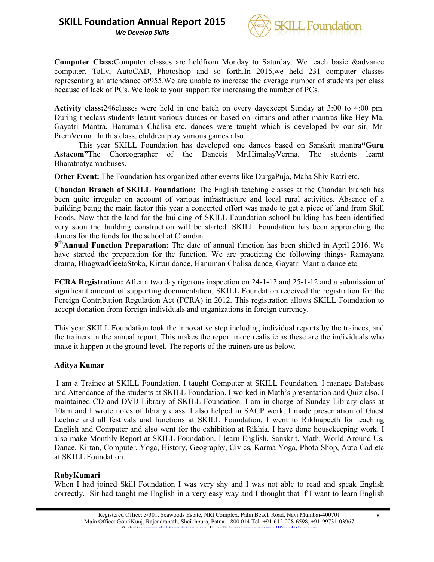*We Develop Skills*



Computer Class:Computer classes are heldfrom Monday to Saturday. We teach basic &advance computer, Tally, AutoCAD, Photoshop and so forth.In 2015,we held 231 computer classes representing an attendance of955.We are unable to increase the average number of students per class because of lack of PCs. We look to your support for increasing the number of PCs.

Activity class:246classes were held in one batch on every dayexcept Sunday at 3:00 to 4:00 pm. During theclass students learnt various dances on based on kirtans and other mantras like Hey Ma, Gayatri Mantra, Hanuman Chalisa etc. dances were taught which is developed by our sir, Mr. PremVerma. In this class, children play various games also.

This year SKILL Foundation has developed one dances based on Sanskrit mantra"Guru Astacom"The Choreographer of the Danceis Mr.HimalayVerma. The students learnt Bharatnatyamadbuses.

Other Event: The Foundation has organized other events like DurgaPuja, Maha Shiv Ratri etc.

Chandan Branch of SKILL Foundation: The English teaching classes at the Chandan branch has been quite irregular on account of various infrastructure and local rural activities. Absence of a building being the main factor this year a concerted effort was made to get a piece of land from Skill Foods. Now that the land for the building of SKILL Foundation school building has been identified very soon the building construction will be started. SKILL Foundation has been approaching the donors for the funds for the school at Chandan.

9thAnnual Function Preparation: The date of annual function has been shifted in April 2016. We have started the preparation for the function. We are practicing the following things- Ramayana drama, BhagwadGeetaStoka, Kirtan dance, Hanuman Chalisa dance, Gayatri Mantra dance etc.

FCRA Registration: After a two day rigorous inspection on 24-1-12 and 25-1-12 and a submission of significant amount of supporting documentation, SKILL Foundation received the registration for the Foreign Contribution Regulation Act (FCRA) in 2012. This registration allows SKILL Foundation to accept donation from foreign individuals and organizations in foreign currency.

This year SKILL Foundation took the innovative step including individual reports by the trainees, and the trainers in the annual report. This makes the report more realistic as these are the individuals who make it happen at the ground level. The reports of the trainers are as below.

### Aditya Kumar

I am a Trainee at SKILL Foundation. I taught Computer at SKILL Foundation. I manage Database and Attendance of the students at SKILL Foundation. I worked in Math's presentation and Quiz also. I maintained CD and DVD Library of SKILL Foundation. I am in-charge of Sunday Library class at 10am and I wrote notes of library class. I also helped in SACP work. I made presentation of Guest Lecture and all festivals and functions at SKILL Foundation. I went to Rikhiapeeth for teaching English and Computer and also went for the exhibition at Rikhia. I have done housekeeping work. I also make Monthly Report at SKILL Foundation. I learn English, Sanskrit, Math, World Around Us, Dance, Kirtan, Computer, Yoga, History, Geography, Civics, Karma Yoga, Photo Shop, Auto Cad etc at SKILL Foundation.

### RubyKumari

When I had joined Skill Foundation I was very shy and I was not able to read and speak English correctly. Sir had taught me English in a very easy way and I thought that if I want to learn English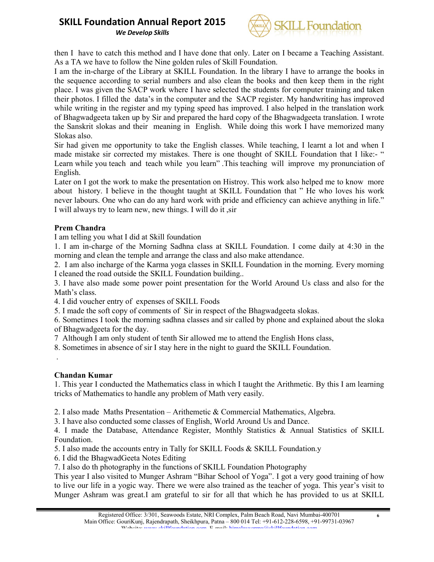*We Develop Skills*



then I have to catch this method and I have done that only. Later on I became a Teaching Assistant. As a TA we have to follow the Nine golden rules of Skill Foundation.

I am the in-charge of the Library at SKILL Foundation. In the library I have to arrange the books in the sequence according to serial numbers and also clean the books and then keep them in the right place. I was given the SACP work where I have selected the students for computer training and taken their photos. I filled the data's in the computer and the SACP register. My handwriting has improved while writing in the register and my typing speed has improved. I also helped in the translation work of Bhagwadgeeta taken up by Sir and prepared the hard copy of the Bhagwadgeeta translation. I wrote the Sanskrit slokas and their meaning in English. While doing this work I have memorized many Slokas also.

Sir had given me opportunity to take the English classes. While teaching, I learnt a lot and when I made mistake sir corrected my mistakes. There is one thought of SKILL Foundation that I like:- " Learn while you teach and teach while you learn" .This teaching will improve my pronunciation of English.

Later on I got the work to make the presentation on Histroy. This work also helped me to know more about history. I believe in the thought taught at SKILL Foundation that " He who loves his work never labours. One who can do any hard work with pride and efficiency can achieve anything in life." I will always try to learn new, new things. I will do it ,sir

### Prem Chandra

I am telling you what I did at Skill foundation

1. I am in-charge of the Morning Sadhna class at SKILL Foundation. I come daily at 4:30 in the morning and clean the temple and arrange the class and also make attendance.

2. I am also incharge of the Karma yoga classes in SKILL Foundation in the morning. Every morning I cleaned the road outside the SKILL Foundation building..

3. I have also made some power point presentation for the World Around Us class and also for the Math's class.

4. I did voucher entry of expenses of SKILL Foods

5. I made the soft copy of comments of Sir in respect of the Bhagwadgeeta slokas.

6. Sometimes I took the morning sadhna classes and sir called by phone and explained about the sloka of Bhagwadgeeta for the day.

7 Although I am only student of tenth Sir allowed me to attend the English Hons class,

8. Sometimes in absence of sir I stay here in the night to guard the SKILL Foundation.

Chandan Kumar

.

1. This year I conducted the Mathematics class in which I taught the Arithmetic. By this I am learning tricks of Mathematics to handle any problem of Math very easily.

2. I also made Maths Presentation – Arithemetic & Commercial Mathematics, Algebra.

3. I have also conducted some classes of English, World Around Us and Dance.

4. I made the Database, Attendance Register, Monthly Statistics & Annual Statistics of SKILL Foundation.

5. I also made the accounts entry in Tally for SKILL Foods & SKILL Foundation.y

6. I did the BhagwadGeeta Notes Editing

7. I also do th photography in the functions of SKILL Foundation Photography

This year I also visited to Munger Ashram "Bihar School of Yoga". I got a very good training of how to live our life in a yogic way. There we were also trained as the teacher of yoga. This year's visit to Munger Ashram was great.I am grateful to sir for all that which he has provided to us at SKILL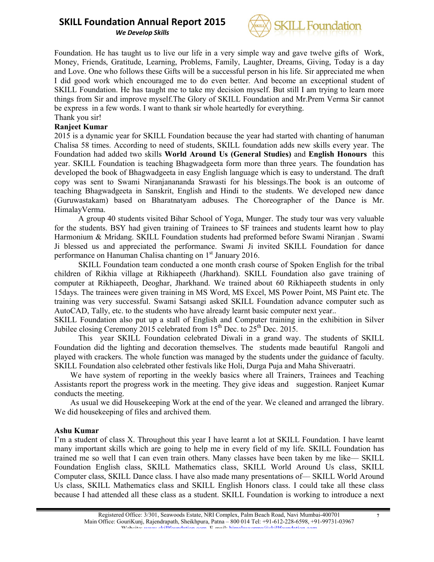*We Develop Skills*



Foundation. He has taught us to live our life in a very simple way and gave twelve gifts of Work, Money, Friends, Gratitude, Learning, Problems, Family, Laughter, Dreams, Giving, Today is a day and Love. One who follows these Gifts will be a successful person in his life. Sir appreciated me when I did good work which encouraged me to do even better. And become an exceptional student of SKILL Foundation. He has taught me to take my decision myself. But still I am trying to learn more things from Sir and improve myself.The Glory of SKILL Foundation and Mr.Prem Verma Sir cannot be express in a few words. I want to thank sir whole heartedly for everything. Thank you sir!

### Ranjeet Kumar

2015 is a dynamic year for SKILL Foundation because the year had started with chanting of hanuman Chalisa 58 times. According to need of students, SKILL foundation adds new skills every year. The Foundation had added two skills World Around Us (General Studies) and English Honours this year. SKILL Foundation is teaching Bhagwadgeeta form more than three years. The foundation has developed the book of Bhagwadgeeta in easy English language which is easy to understand. The draft copy was sent to Swami Niranjanananda Srawasti for his blessings.The book is an outcome of teaching Bhagwadgeeta in Sanskrit, English and Hindi to the students. We developed new dance (Guruwastakam) based on Bharatnatyam adbuses. The Choreographer of the Dance is Mr. HimalayVerma.

A group 40 students visited Bihar School of Yoga, Munger. The study tour was very valuable for the students. BSY had given training of Trainees to SF trainees and students learnt how to play Harmonium & Mridang. SKILL Foundation students had preformed before Swami Niranjan . Swami Ji blessed us and appreciated the performance. Swami Ji invited SKILL Foundation for dance performance on Hanuman Chalisa chanting on 1<sup>st</sup> January 2016.

SKILL Foundation team conducted a one month crash course of Spoken English for the tribal children of Rikhia village at Rikhiapeeth (Jharkhand). SKILL Foundation also gave training of computer at Rikhiapeeth, Deoghar, Jharkhand. We trained about 60 Rikhiapeeth students in only 15days. The trainees were given training in MS Word, MS Excel, MS Power Point, MS Paint etc. The training was very successful. Swami Satsangi asked SKILL Foundation advance computer such as AutoCAD, Tally, etc. to the students who have already learnt basic computer next year..

SKILL Foundation also put up a stall of English and Computer training in the exhibition in Silver Jubilee closing Ceremony 2015 celebrated from  $15^{th}$  Dec. to  $25^{th}$  Dec. 2015.

This year SKILL Foundation celebrated Diwali in a grand way. The students of SKILL Foundation did the lighting and decoration themselves. The students made beautiful Rangoli and played with crackers. The whole function was managed by the students under the guidance of faculty. SKILL Foundation also celebrated other festivals like Holi, Durga Puja and Maha Shiveraatri.

 We have system of reporting in the weekly basics where all Trainers, Trainees and Teaching Assistants report the progress work in the meeting. They give ideas and suggestion. Ranjeet Kumar conducts the meeting.

 As usual we did Housekeeping Work at the end of the year. We cleaned and arranged the library. We did housekeeping of files and archived them.

### Ashu Kumar

I'm a student of class X. Throughout this year I have learnt a lot at SKILL Foundation. I have learnt many important skills which are going to help me in every field of my life. SKILL Foundation has trained me so well that I can even train others. Many classes have been taken by me like–– SKILL Foundation English class, SKILL Mathematics class, SKILL World Around Us class, SKILL Computer class, SKILL Dance class. I have also made many presentations of–– SKILL World Around Us class, SKILL Mathematics class and SKILL English Honors class. I could take all these class because I had attended all these class as a student. SKILL Foundation is working to introduce a next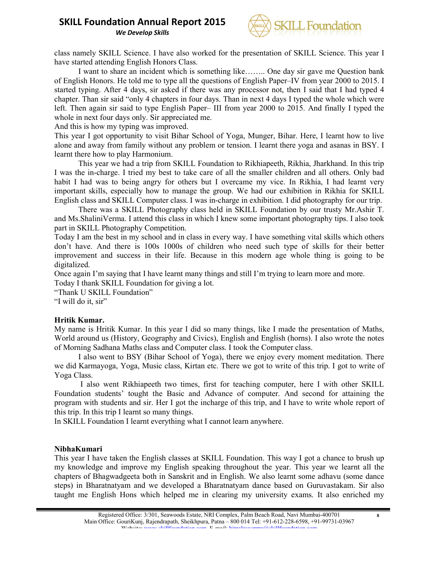*We Develop Skills*



class namely SKILL Science. I have also worked for the presentation of SKILL Science. This year I have started attending English Honors Class.

I want to share an incident which is something like…….. One day sir gave me Question bank of English Honors. He told me to type all the questions of English Paper–IV from year 2000 to 2015. I started typing. After 4 days, sir asked if there was any processor not, then I said that I had typed 4 chapter. Than sir said "only 4 chapters in four days. Than in next 4 days I typed the whole which were left. Then again sir said to type English Paper– III from year 2000 to 2015. And finally I typed the whole in next four days only. Sir appreciated me.

And this is how my typing was improved.

This year I got opportunity to visit Bihar School of Yoga, Munger, Bihar. Here, I learnt how to live alone and away from family without any problem or tension. I learnt there yoga and asanas in BSY. I learnt there how to play Harmonium.

This year we had a trip from SKILL Foundation to Rikhiapeeth, Rikhia, Jharkhand. In this trip I was the in-charge. I tried my best to take care of all the smaller children and all others. Only bad habit I had was to being angry for others but I overcame my vice. In Rikhia, I had learnt very important skills, especially how to manage the group. We had our exhibition in Rikhia for SKILL English class and SKILL Computer class. I was in-charge in exhibition. I did photography for our trip.

There was a SKILL Photography class held in SKILL Foundation by our trusty Mr.Ashir T. and Ms.ShaliniVerma. I attend this class in which I knew some important photography tips. I also took part in SKILL Photography Competition.

Today I am the best in my school and in class in every way. I have something vital skills which others don't have. And there is 100s 1000s of children who need such type of skills for their better improvement and success in their life. Because in this modern age whole thing is going to be digitalized.

Once again I'm saying that I have learnt many things and still I'm trying to learn more and more. Today I thank SKILL Foundation for giving a lot.

"Thank U SKILL Foundation"

"I will do it, sir"

### Hritik Kumar.

My name is Hritik Kumar. In this year I did so many things, like I made the presentation of Maths, World around us (History, Geography and Civics), English and English (horns). I also wrote the notes of Morning Sadhana Maths class and Computer class. I took the Computer class.

I also went to BSY (Bihar School of Yoga), there we enjoy every moment meditation. There we did Karmayoga, Yoga, Music class, Kirtan etc. There we got to write of this trip. I got to write of Yoga Class.

I also went Rikhiapeeth two times, first for teaching computer, here I with other SKILL Foundation students' tought the Basic and Advance of computer. And second for attaining the program with students and sir. Her I got the incharge of this trip, and I have to write whole report of this trip. In this trip I learnt so many things.

In SKILL Foundation I learnt everything what I cannot learn anywhere.

### NibhaKumari

This year I have taken the English classes at SKILL Foundation. This way I got a chance to brush up my knowledge and improve my English speaking throughout the year. This year we learnt all the chapters of Bhagwadgeeta both in Sanskrit and in English. We also learnt some adhavu (some dance steps) in Bharatnatyam and we developed a Bharatnatyam dance based on Guruvastakam. Sir also taught me English Hons which helped me in clearing my university exams. It also enriched my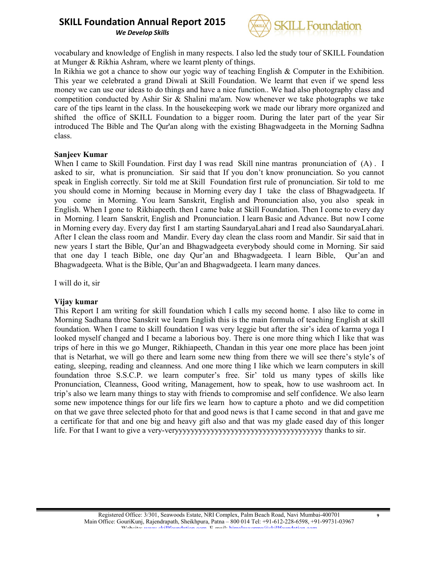*We Develop Skills*



vocabulary and knowledge of English in many respects. I also led the study tour of SKILL Foundation at Munger & Rikhia Ashram, where we learnt plenty of things.

In Rikhia we got a chance to show our yogic way of teaching English & Computer in the Exhibition. This year we celebrated a grand Diwali at Skill Foundation. We learnt that even if we spend less money we can use our ideas to do things and have a nice function.. We had also photography class and competition conducted by Ashir Sir & Shalini ma'am. Now whenever we take photographs we take care of the tips learnt in the class. In the housekeeping work we made our library more organized and shifted the office of SKILL Foundation to a bigger room. During the later part of the year Sir introduced The Bible and The Qur'an along with the existing Bhagwadgeeta in the Morning Sadhna class.

### Sanjeev Kumar

When I came to Skill Foundation. First day I was read Skill nine mantras pronunciation of (A) . I asked to sir, what is pronunciation. Sir said that If you don't know pronunciation. So you cannot speak in English correctly. Sir told me at Skill Foundation first rule of pronunciation. Sir told to me you should come in Morning because in Morning every day I take the class of Bhagwadgeeta. If you come in Morning. You learn Sanskrit, English and Pronunciation also, you also speak in English. When I gone to Rikhiapeeth. then I came bake at Skill Foundation. Then I come to every day in Morning. I learn Sanskrit, English and Pronunciation. I learn Basic and Advance. But now I come in Morning every day. Every day first I am starting SaundaryaLahari and I read also SaundaryaLahari. After I clean the class room and Mandir. Every day clean the class room and Mandir. Sir said that in new years I start the Bible, Qur'an and Bhagwadgeeta everybody should come in Morning. Sir said that one day I teach Bible, one day Qur'an and Bhagwadgeeta. I learn Bible, Qur'an and Bhagwadgeeta. What is the Bible, Qur'an and Bhagwadgeeta. I learn many dances.

I will do it, sir

### Vijay kumar

This Report I am writing for skill foundation which I calls my second home. I also like to come in Morning Sadhana throe Sanskrit we learn English this is the main formula of teaching English at skill foundation. When I came to skill foundation I was very leggie but after the sir's idea of karma yoga I looked myself changed and I became a laborious boy. There is one more thing which I like that was trips of here in this we go Munger, Rikhiapeeth, Chandan in this year one more place has been joint that is Netarhat, we will go there and learn some new thing from there we will see there's style's of eating, sleeping, reading and cleanness. And one more thing I like which we learn computers in skill foundation throe S.S.C.P. we learn computer's free. Sir' told us many types of skills like Pronunciation, Cleanness, Good writing, Management, how to speak, how to use washroom act. In trip's also we learn many things to stay with friends to compromise and self confidence. We also learn some new impotence things for our life firs we learn how to capture a photo and we did competition on that we gave three selected photo for that and good news is that I came second in that and gave me a certificate for that and one big and heavy gift also and that was my glade eased day of this longer life. For that I want to give a very-veryyyyyyyyyyyyyyyyyyyyyyyyyyyyyyyyyyyyy thanks to sir.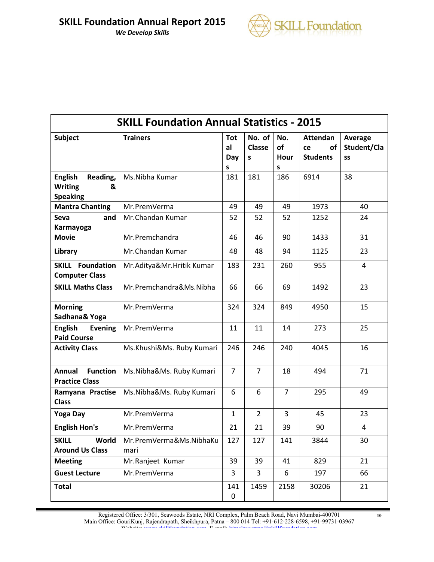

| <b>SKILL Foundation Annual Statistics - 2015</b>                     |                                 |                       |                              |                        |                                                |                              |  |
|----------------------------------------------------------------------|---------------------------------|-----------------------|------------------------------|------------------------|------------------------------------------------|------------------------------|--|
| <b>Subject</b>                                                       | <b>Trainers</b>                 | Tot<br>al<br>Day<br>S | No. of<br><b>Classe</b><br>S | No.<br>of<br>Hour<br>S | <b>Attendan</b><br>of<br>ce<br><b>Students</b> | Average<br>Student/Cla<br>SS |  |
| <b>English</b><br>Reading,<br><b>Writing</b><br>&<br><b>Speaking</b> | Ms.Nibha Kumar                  | 181                   | 181                          | 186                    | 6914                                           | 38                           |  |
| <b>Mantra Chanting</b>                                               | Mr.PremVerma                    | 49                    | 49                           | 49                     | 1973                                           | 40                           |  |
| <b>Seva</b><br>and<br>Karmayoga                                      | Mr.Chandan Kumar                | 52                    | 52                           | 52                     | 1252                                           | 24                           |  |
| <b>Movie</b>                                                         | Mr.Premchandra                  | 46                    | 46                           | 90                     | 1433                                           | 31                           |  |
| Library                                                              | Mr.Chandan Kumar                | 48                    | 48                           | 94                     | 1125                                           | 23                           |  |
| <b>SKILL Foundation</b><br><b>Computer Class</b>                     | Mr.Aditya&Mr.Hritik Kumar       | 183                   | 231                          | 260                    | 955                                            | 4                            |  |
| <b>SKILL Maths Class</b>                                             | Mr.Premchandra&Ms.Nibha         | 66                    | 66                           | 69                     | 1492                                           | 23                           |  |
| <b>Morning</b><br>Sadhana& Yoga                                      | Mr.PremVerma                    | 324                   | 324                          | 849                    | 4950                                           | 15                           |  |
| <b>English</b><br><b>Evening</b><br><b>Paid Course</b>               | Mr.PremVerma                    | 11                    | 11                           | 14                     | 273                                            | 25                           |  |
| <b>Activity Class</b>                                                | Ms.Khushi&Ms. Ruby Kumari       | 246                   | 246                          | 240                    | 4045                                           | 16                           |  |
| Annual<br><b>Function</b><br><b>Practice Class</b>                   | Ms.Nibha&Ms. Ruby Kumari        | 7                     | 7                            | 18                     | 494                                            | 71                           |  |
| Ramyana Practise<br><b>Class</b>                                     | Ms.Nibha&Ms. Ruby Kumari        | 6                     | 6                            | $\overline{7}$         | 295                                            | 49                           |  |
| <b>Yoga Day</b>                                                      | Mr.PremVerma                    | $\mathbf{1}$          | $\overline{2}$               | 3                      | 45                                             | 23                           |  |
| <b>English Hon's</b>                                                 | Mr.PremVerma                    | 21                    | 21                           | 39                     | 90                                             | 4                            |  |
| World<br><b>SKILL</b><br><b>Around Us Class</b>                      | Mr.PremVerma&Ms.NibhaKu<br>mari | 127                   | 127                          | 141                    | 3844                                           | 30                           |  |
| <b>Meeting</b>                                                       | Mr.Ranjeet Kumar                | 39                    | 39                           | 41                     | 829                                            | 21                           |  |
| <b>Guest Lecture</b>                                                 | Mr.PremVerma                    | 3                     | 3                            | 6                      | 197                                            | 66                           |  |
| <b>Total</b>                                                         |                                 | 141<br>$\pmb{0}$      | 1459                         | 2158                   | 30206                                          | 21                           |  |